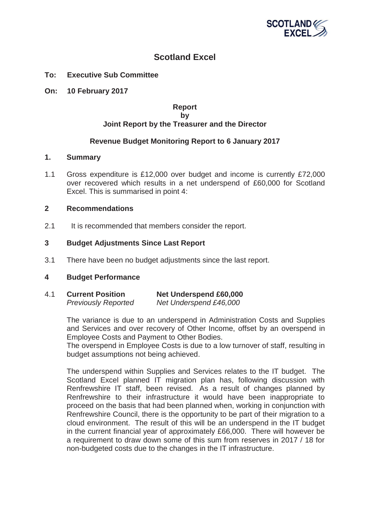

# **Scotland Excel**

- **To: Executive Sub Committee**
- **On: 10 February 2017**

## **Report by Joint Report by the Treasurer and the Director**

## **Revenue Budget Monitoring Report to 6 January 2017**

#### **1. Summary**

1.1 Gross expenditure is £12,000 over budget and income is currently £72,000 over recovered which results in a net underspend of £60,000 for Scotland Excel. This is summarised in point 4:

#### **2 Recommendations**

2.1 It is recommended that members consider the report.

#### **3 Budget Adjustments Since Last Report**

3.1 There have been no budget adjustments since the last report.

#### **4 Budget Performance**

4.1 **Current Position Net Underspend £60,000**  *Previously Reported Net Underspend £46,000* 

> The variance is due to an underspend in Administration Costs and Supplies and Services and over recovery of Other Income, offset by an overspend in Employee Costs and Payment to Other Bodies.

> The overspend in Employee Costs is due to a low turnover of staff, resulting in budget assumptions not being achieved.

> The underspend within Supplies and Services relates to the IT budget. The Scotland Excel planned IT migration plan has, following discussion with Renfrewshire IT staff, been revised. As a result of changes planned by Renfrewshire to their infrastructure it would have been inappropriate to proceed on the basis that had been planned when, working in conjunction with Renfrewshire Council, there is the opportunity to be part of their migration to a cloud environment. The result of this will be an underspend in the IT budget in the current financial year of approximately £66,000. There will however be a requirement to draw down some of this sum from reserves in 2017 / 18 for non-budgeted costs due to the changes in the IT infrastructure.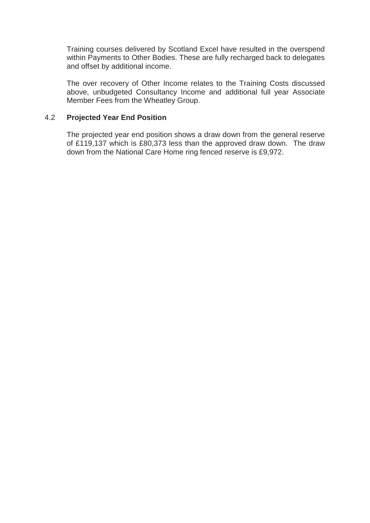Training courses delivered by Scotland Excel have resulted in the overspend within Payments to Other Bodies. These are fully recharged back to delegates and offset by additional income.

The over recovery of Other Income relates to the Training Costs discussed above, unbudgeted Consultancy Income and additional full year Associate Member Fees from the Wheatley Group.

# 4.2 **Projected Year End Position**

The projected year end position shows a draw down from the general reserve of £119,137 which is £80,373 less than the approved draw down. The draw down from the National Care Home ring fenced reserve is £9,972.